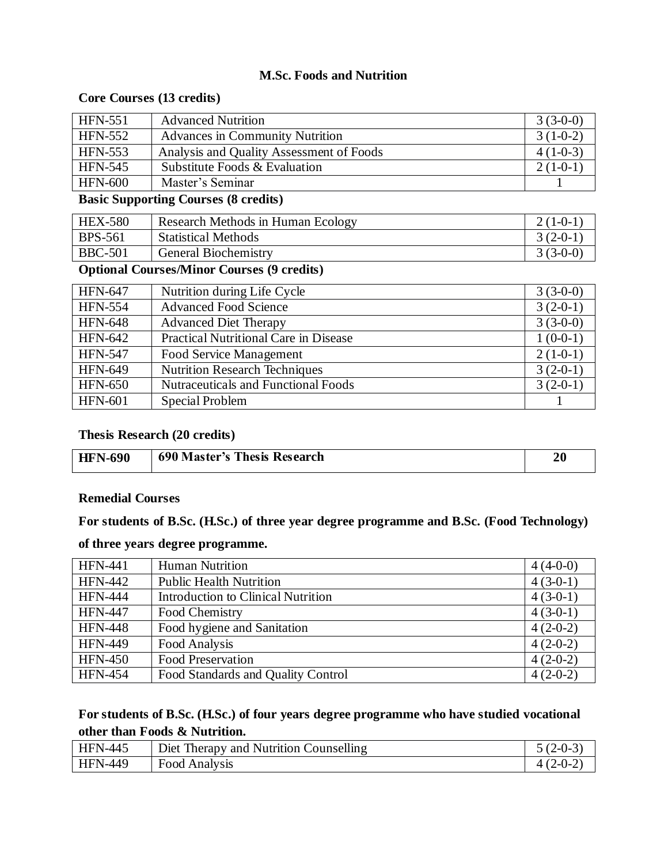### **M.Sc. Foods and Nutrition**

# **Core Courses (13 credits)**

| <b>HFN-551</b> | <b>Advanced Nutrition</b>                | $3(3-0-0)$ |
|----------------|------------------------------------------|------------|
| <b>HFN-552</b> | <b>Advances in Community Nutrition</b>   | $3(1-0-2)$ |
| <b>HFN-553</b> | Analysis and Quality Assessment of Foods | $4(1-0-3)$ |
| <b>HFN-545</b> | Substitute Foods & Evaluation            | $2(1-0-1)$ |
| <b>HFN-600</b> | Master's Seminar                         |            |

#### **Basic Supporting Courses (8 credits)**

| <b>HEX-580</b> | Research Methods in Human Ecology | $2(1-0-1)$ |
|----------------|-----------------------------------|------------|
| <b>BPS-561</b> | <b>Statistical Methods</b>        | $3(2-0-1)$ |
| <b>BBC-501</b> | <b>General Biochemistry</b>       | $3(3-0-0)$ |

### **Optional Courses/Minor Courses (9 credits)**

| <b>HFN-647</b> | Nutrition during Life Cycle                | $3(3-0-0)$ |
|----------------|--------------------------------------------|------------|
| <b>HFN-554</b> | <b>Advanced Food Science</b>               | $3(2-0-1)$ |
| <b>HFN-648</b> | <b>Advanced Diet Therapy</b>               | $3(3-0-0)$ |
| <b>HFN-642</b> | Practical Nutritional Care in Disease      | $1(0-0-1)$ |
| <b>HFN-547</b> | Food Service Management                    | $2(1-0-1)$ |
| <b>HFN-649</b> | <b>Nutrition Research Techniques</b>       | $3(2-0-1)$ |
| <b>HFN-650</b> | <b>Nutraceuticals and Functional Foods</b> | $3(2-0-1)$ |
| <b>HFN-601</b> | Special Problem                            |            |

# **Thesis Research (20 credits)**

| <b>HFN-690</b> | <b>690 Master's Thesis Research</b> | 20 |
|----------------|-------------------------------------|----|

#### **Remedial Courses**

**For students of B.Sc. (H.Sc.) of three year degree programme and B.Sc. (Food Technology)** 

### **of three years degree programme.**

| <b>HFN-441</b> | Human Nutrition                           | $4(4-0-0)$ |
|----------------|-------------------------------------------|------------|
| <b>HFN-442</b> | <b>Public Health Nutrition</b>            | $4(3-0-1)$ |
| <b>HFN-444</b> | <b>Introduction to Clinical Nutrition</b> | $4(3-0-1)$ |
| <b>HFN-447</b> | Food Chemistry                            | $4(3-0-1)$ |
| <b>HFN-448</b> | Food hygiene and Sanitation               | $4(2-0-2)$ |
| <b>HFN-449</b> | Food Analysis                             | $4(2-0-2)$ |
| <b>HFN-450</b> | <b>Food Preservation</b>                  | $4(2-0-2)$ |
| <b>HFN-454</b> | Food Standards and Quality Control        | $4(2-0-2)$ |

### **For students of B.Sc. (H.Sc.) of four years degree programme who have studied vocational other than Foods & Nutrition.**

| <b>HFN-445</b> | Diet Therapy and Nutrition Counselling | $5(2-0-3)$ |
|----------------|----------------------------------------|------------|
| <b>HFN-449</b> | <b>Food Analysis</b>                   | $4(2-0-2)$ |